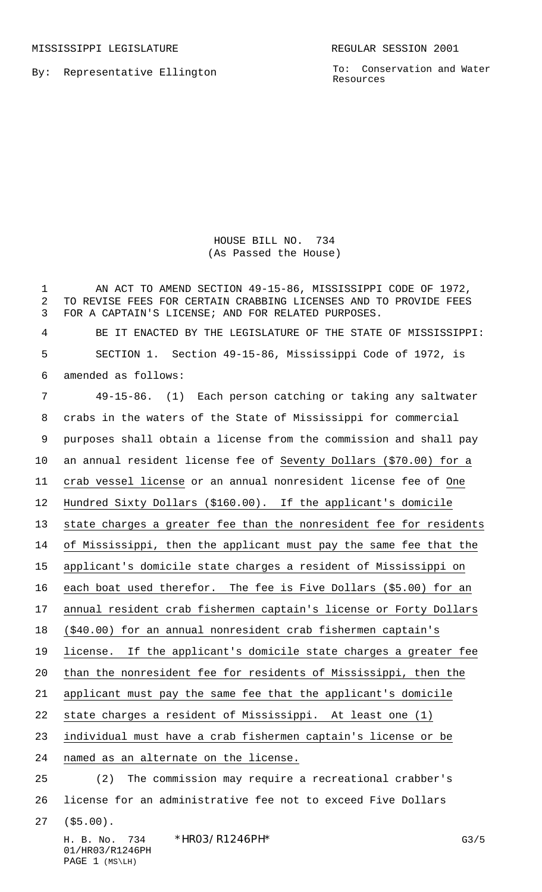MISSISSIPPI LEGISLATURE **REGULAR SESSION 2001** 

By: Representative Ellington

To: Conservation and Water Resources

## HOUSE BILL NO. 734 (As Passed the House)

1 AN ACT TO AMEND SECTION 49-15-86, MISSISSIPPI CODE OF 1972, TO REVISE FEES FOR CERTAIN CRABBING LICENSES AND TO PROVIDE FEES FOR A CAPTAIN'S LICENSE; AND FOR RELATED PURPOSES.

 BE IT ENACTED BY THE LEGISLATURE OF THE STATE OF MISSISSIPPI: SECTION 1. Section 49-15-86, Mississippi Code of 1972, is amended as follows:

 49-15-86. (1) Each person catching or taking any saltwater crabs in the waters of the State of Mississippi for commercial purposes shall obtain a license from the commission and shall pay an annual resident license fee of Seventy Dollars (\$70.00) for a crab vessel license or an annual nonresident license fee of One Hundred Sixty Dollars (\$160.00). If the applicant's domicile state charges a greater fee than the nonresident fee for residents of Mississippi, then the applicant must pay the same fee that the applicant's domicile state charges a resident of Mississippi on each boat used therefor. The fee is Five Dollars (\$5.00) for an annual resident crab fishermen captain's license or Forty Dollars (\$40.00) for an annual nonresident crab fishermen captain's 19 license. If the applicant's domicile state charges a greater fee than the nonresident fee for residents of Mississippi, then the applicant must pay the same fee that the applicant's domicile state charges a resident of Mississippi. At least one (1) individual must have a crab fishermen captain's license or be named as an alternate on the license. (2) The commission may require a recreational crabber's license for an administrative fee not to exceed Five Dollars

(\$5.00).

H. B. No. 734 \* HRO3/R1246 PH \* THE CONSTRUCTED TO A G3/5 01/HR03/R1246PH PAGE 1 (MS\LH)